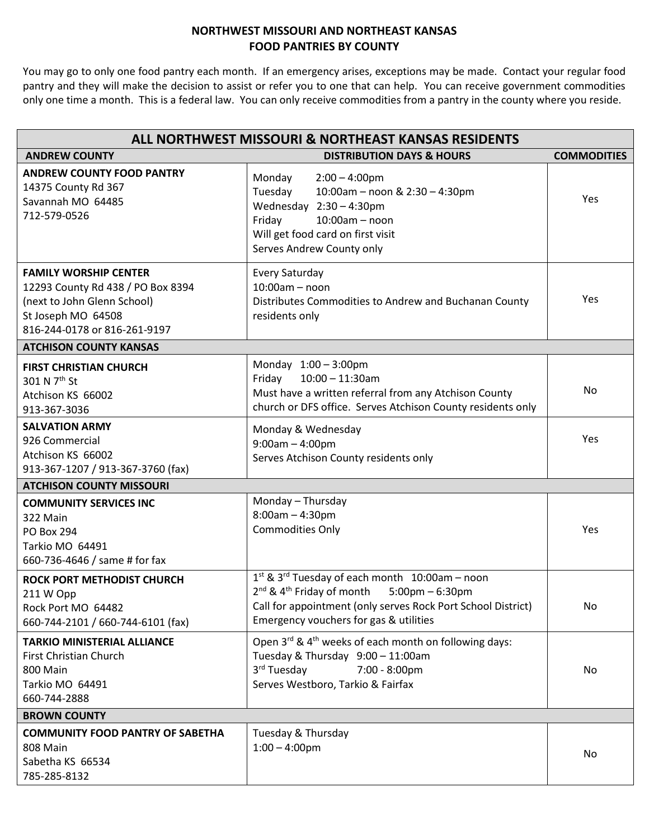## **NORTHWEST MISSOURI AND NORTHEAST KANSAS FOOD PANTRIES BY COUNTY**

You may go to only one food pantry each month. If an emergency arises, exceptions may be made. Contact your regular food pantry and they will make the decision to assist or refer you to one that can help. You can receive government commodities only one time a month. This is a federal law. You can only receive commodities from a pantry in the county where you reside.

| ALL NORTHWEST MISSOURI & NORTHEAST KANSAS RESIDENTS                                                                                                    |                                                                                                                                                                                                                               |                    |  |
|--------------------------------------------------------------------------------------------------------------------------------------------------------|-------------------------------------------------------------------------------------------------------------------------------------------------------------------------------------------------------------------------------|--------------------|--|
| <b>ANDREW COUNTY</b>                                                                                                                                   | <b>DISTRIBUTION DAYS &amp; HOURS</b>                                                                                                                                                                                          | <b>COMMODITIES</b> |  |
| <b>ANDREW COUNTY FOOD PANTRY</b><br>14375 County Rd 367<br>Savannah MO 64485<br>712-579-0526                                                           | Monday<br>$2:00 - 4:00$ pm<br>Tuesday<br>10:00am - noon & 2:30 - 4:30pm<br>Wednesday 2:30 - 4:30pm<br>Friday<br>$10:00am - noon$<br>Will get food card on first visit<br>Serves Andrew County only                            | Yes                |  |
| <b>FAMILY WORSHIP CENTER</b><br>12293 County Rd 438 / PO Box 8394<br>(next to John Glenn School)<br>St Joseph MO 64508<br>816-244-0178 or 816-261-9197 | Every Saturday<br>$10:00am - noon$<br>Distributes Commodities to Andrew and Buchanan County<br>residents only                                                                                                                 | Yes                |  |
| <b>ATCHISON COUNTY KANSAS</b>                                                                                                                          |                                                                                                                                                                                                                               |                    |  |
| <b>FIRST CHRISTIAN CHURCH</b><br>301 N 7 <sup>th</sup> St<br>Atchison KS 66002<br>913-367-3036                                                         | Monday 1:00 - 3:00pm<br>$10:00 - 11:30$ am<br>Friday<br>Must have a written referral from any Atchison County<br>church or DFS office. Serves Atchison County residents only                                                  | No                 |  |
| <b>SALVATION ARMY</b><br>926 Commercial<br>Atchison KS 66002<br>913-367-1207 / 913-367-3760 (fax)                                                      | Monday & Wednesday<br>$9:00am - 4:00pm$<br>Serves Atchison County residents only                                                                                                                                              | Yes                |  |
| <b>ATCHISON COUNTY MISSOURI</b>                                                                                                                        |                                                                                                                                                                                                                               |                    |  |
| <b>COMMUNITY SERVICES INC</b><br>322 Main<br><b>PO Box 294</b><br>Tarkio MO 64491<br>660-736-4646 / same # for fax                                     | Monday - Thursday<br>$8:00$ am - 4:30pm<br><b>Commodities Only</b>                                                                                                                                                            | Yes                |  |
| <b>ROCK PORT METHODIST CHURCH</b><br>211 W Opp<br>Rock Port MO 64482<br>660-744-2101 / 660-744-6101 (fax)                                              | 1st & 3rd Tuesday of each month 10:00am - noon<br>2 <sup>nd</sup> & 4 <sup>th</sup> Friday of month 5:00pm - 6:30pm<br>Call for appointment (only serves Rock Port School District)<br>Emergency vouchers for gas & utilities | No                 |  |
| <b>TARKIO MINISTERIAL ALLIANCE</b><br><b>First Christian Church</b><br>800 Main<br>Tarkio MO 64491<br>660-744-2888                                     | Open 3rd & 4 <sup>th</sup> weeks of each month on following days:<br>Tuesday & Thursday 9:00 - 11:00am<br>3 <sup>rd</sup> Tuesday<br>7:00 - 8:00pm<br>Serves Westboro, Tarkio & Fairfax                                       | No.                |  |
| <b>BROWN COUNTY</b>                                                                                                                                    |                                                                                                                                                                                                                               |                    |  |
| <b>COMMUNITY FOOD PANTRY OF SABETHA</b><br>808 Main<br>Sabetha KS 66534<br>785-285-8132                                                                | Tuesday & Thursday<br>$1:00 - 4:00$ pm                                                                                                                                                                                        | No                 |  |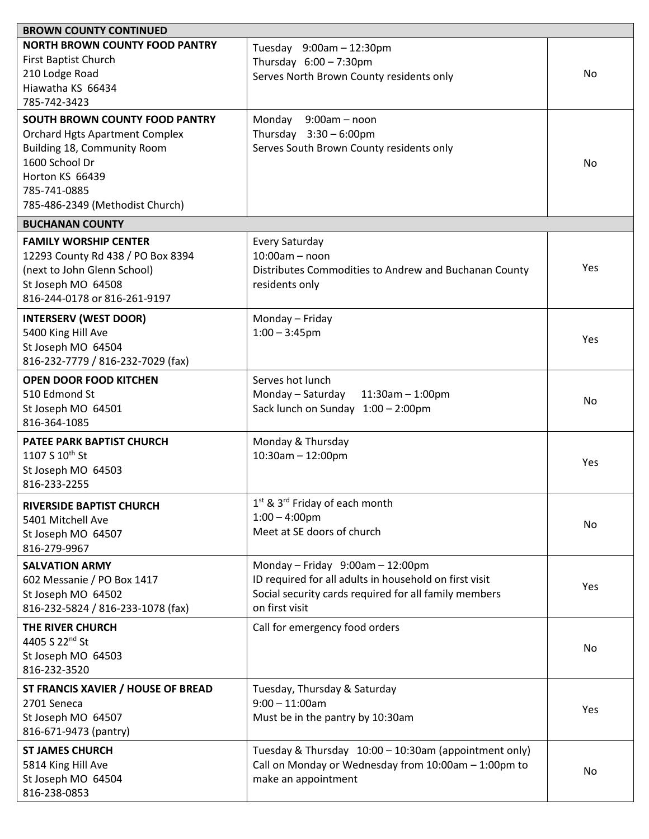| <b>BROWN COUNTY CONTINUED</b>                                                                                                                                                                  |                                                                                                                                                                       |     |
|------------------------------------------------------------------------------------------------------------------------------------------------------------------------------------------------|-----------------------------------------------------------------------------------------------------------------------------------------------------------------------|-----|
| <b>NORTH BROWN COUNTY FOOD PANTRY</b><br>First Baptist Church<br>210 Lodge Road<br>Hiawatha KS 66434<br>785-742-3423                                                                           | Tuesday 9:00am - 12:30pm<br>Thursday $6:00 - 7:30$ pm<br>Serves North Brown County residents only                                                                     | No. |
| SOUTH BROWN COUNTY FOOD PANTRY<br><b>Orchard Hgts Apartment Complex</b><br>Building 18, Community Room<br>1600 School Dr<br>Horton KS 66439<br>785-741-0885<br>785-486-2349 (Methodist Church) | Monday<br>$9:00am - noon$<br>Thursday $3:30 - 6:00$ pm<br>Serves South Brown County residents only                                                                    | No. |
| <b>BUCHANAN COUNTY</b>                                                                                                                                                                         |                                                                                                                                                                       |     |
| <b>FAMILY WORSHIP CENTER</b><br>12293 County Rd 438 / PO Box 8394<br>(next to John Glenn School)<br>St Joseph MO 64508<br>816-244-0178 or 816-261-9197                                         | Every Saturday<br>$10:00am - noon$<br>Distributes Commodities to Andrew and Buchanan County<br>residents only                                                         | Yes |
| <b>INTERSERV (WEST DOOR)</b><br>5400 King Hill Ave<br>St Joseph MO 64504<br>816-232-7779 / 816-232-7029 (fax)                                                                                  | Monday - Friday<br>$1:00 - 3:45$ pm                                                                                                                                   | Yes |
| <b>OPEN DOOR FOOD KITCHEN</b><br>510 Edmond St<br>St Joseph MO 64501<br>816-364-1085                                                                                                           | Serves hot lunch<br>Monday - Saturday<br>$11:30am - 1:00pm$<br>Sack lunch on Sunday 1:00 - 2:00pm                                                                     | No. |
| <b>PATEE PARK BAPTIST CHURCH</b><br>1107 S 10th St<br>St Joseph MO 64503<br>816-233-2255                                                                                                       | Monday & Thursday<br>$10:30$ am - 12:00pm                                                                                                                             | Yes |
| <b>RIVERSIDE BAPTIST CHURCH</b><br>5401 Mitchell Ave<br>St Joseph MO 64507<br>816-279-9967                                                                                                     | 1 <sup>st</sup> & 3 <sup>rd</sup> Friday of each month<br>$1:00 - 4:00$ pm<br>Meet at SE doors of church                                                              | No  |
| <b>SALVATION ARMY</b><br>602 Messanie / PO Box 1417<br>St Joseph MO 64502<br>816-232-5824 / 816-233-1078 (fax)                                                                                 | Monday - Friday 9:00am - 12:00pm<br>ID required for all adults in household on first visit<br>Social security cards required for all family members<br>on first visit | Yes |
| THE RIVER CHURCH<br>4405 S 22 <sup>nd</sup> St<br>St Joseph MO 64503<br>816-232-3520                                                                                                           | Call for emergency food orders                                                                                                                                        | No  |
| ST FRANCIS XAVIER / HOUSE OF BREAD<br>2701 Seneca<br>St Joseph MO 64507<br>816-671-9473 (pantry)                                                                                               | Tuesday, Thursday & Saturday<br>$9:00 - 11:00$ am<br>Must be in the pantry by 10:30am                                                                                 | Yes |
| <b>ST JAMES CHURCH</b><br>5814 King Hill Ave<br>St Joseph MO 64504<br>816-238-0853                                                                                                             | Tuesday & Thursday 10:00 - 10:30am (appointment only)<br>Call on Monday or Wednesday from 10:00am - 1:00pm to<br>make an appointment                                  | No  |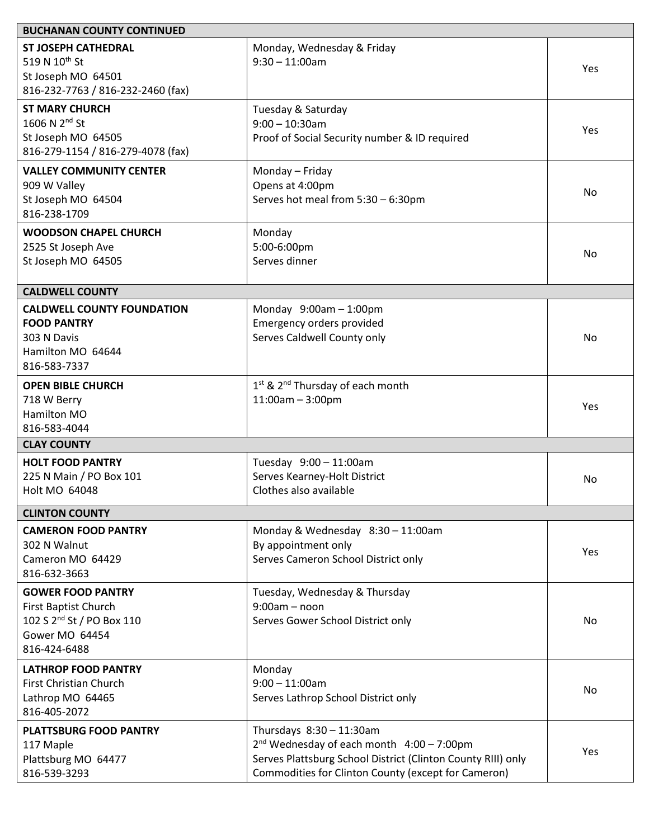| <b>BUCHANAN COUNTY CONTINUED</b>                                                                                                   |                                                                                                                                                                                                   |     |  |
|------------------------------------------------------------------------------------------------------------------------------------|---------------------------------------------------------------------------------------------------------------------------------------------------------------------------------------------------|-----|--|
| <b>ST JOSEPH CATHEDRAL</b><br>519 N 10th St<br>St Joseph MO 64501<br>816-232-7763 / 816-232-2460 (fax)                             | Monday, Wednesday & Friday<br>$9:30 - 11:00$ am                                                                                                                                                   | Yes |  |
| <b>ST MARY CHURCH</b><br>1606 N 2 <sup>nd</sup> St<br>St Joseph MO 64505<br>816-279-1154 / 816-279-4078 (fax)                      | Tuesday & Saturday<br>$9:00 - 10:30$ am<br>Proof of Social Security number & ID required                                                                                                          | Yes |  |
| <b>VALLEY COMMUNITY CENTER</b><br>909 W Valley<br>St Joseph MO 64504<br>816-238-1709                                               | Monday - Friday<br>Opens at 4:00pm<br>Serves hot meal from 5:30 - 6:30pm                                                                                                                          | No  |  |
| <b>WOODSON CHAPEL CHURCH</b><br>2525 St Joseph Ave<br>St Joseph MO 64505                                                           | Monday<br>5:00-6:00pm<br>Serves dinner                                                                                                                                                            | No  |  |
| <b>CALDWELL COUNTY</b>                                                                                                             |                                                                                                                                                                                                   |     |  |
| <b>CALDWELL COUNTY FOUNDATION</b><br><b>FOOD PANTRY</b><br>303 N Davis<br>Hamilton MO 64644<br>816-583-7337                        | Monday $9:00am - 1:00pm$<br>Emergency orders provided<br>Serves Caldwell County only                                                                                                              | No  |  |
| <b>OPEN BIBLE CHURCH</b><br>718 W Berry<br>Hamilton MO<br>816-583-4044                                                             | 1 <sup>st</sup> & 2 <sup>nd</sup> Thursday of each month<br>$11:00am - 3:00pm$                                                                                                                    | Yes |  |
| <b>CLAY COUNTY</b>                                                                                                                 |                                                                                                                                                                                                   |     |  |
| <b>HOLT FOOD PANTRY</b><br>225 N Main / PO Box 101<br>Holt MO 64048                                                                | Tuesday 9:00 - 11:00am<br>Serves Kearney-Holt District<br>Clothes also available                                                                                                                  | No  |  |
| <b>CLINTON COUNTY</b>                                                                                                              |                                                                                                                                                                                                   |     |  |
| <b>CAMERON FOOD PANTRY</b><br>302 N Walnut<br>Cameron MO 64429<br>816-632-3663                                                     | Monday & Wednesday 8:30 - 11:00am<br>By appointment only<br>Serves Cameron School District only                                                                                                   | Yes |  |
| <b>GOWER FOOD PANTRY</b><br>First Baptist Church<br>102 S 2 <sup>nd</sup> St / PO Box 110<br><b>Gower MO 64454</b><br>816-424-6488 | Tuesday, Wednesday & Thursday<br>$9:00am - noon$<br>Serves Gower School District only                                                                                                             | No  |  |
| <b>LATHROP FOOD PANTRY</b><br>First Christian Church<br>Lathrop MO 64465<br>816-405-2072                                           | Monday<br>$9:00 - 11:00$ am<br>Serves Lathrop School District only                                                                                                                                | No. |  |
| <b>PLATTSBURG FOOD PANTRY</b><br>117 Maple<br>Plattsburg MO 64477<br>816-539-3293                                                  | Thursdays 8:30 - 11:30am<br>$2nd$ Wednesday of each month $4:00 - 7:00$ pm<br>Serves Plattsburg School District (Clinton County RIII) only<br>Commodities for Clinton County (except for Cameron) | Yes |  |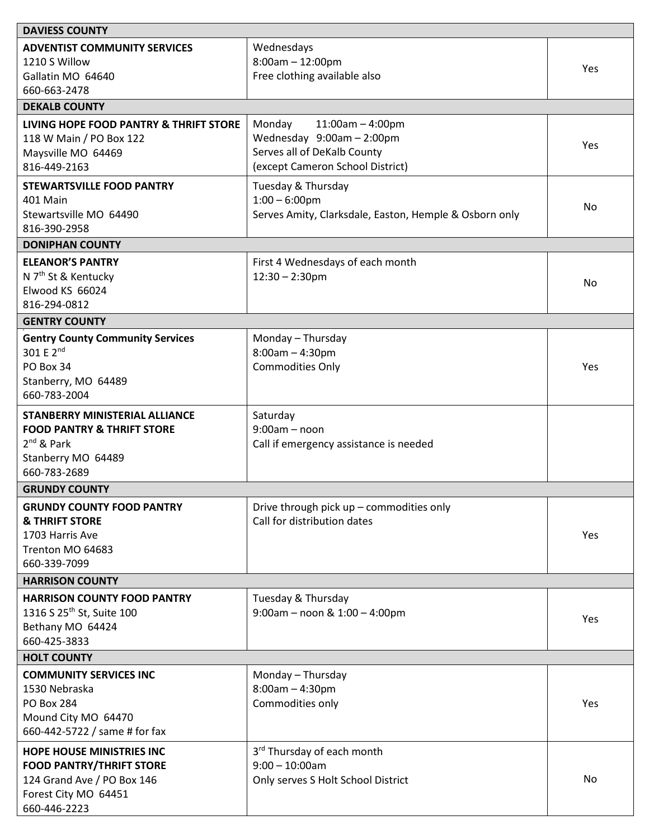| <b>DAVIESS COUNTY</b>                   |                                                        |     |  |
|-----------------------------------------|--------------------------------------------------------|-----|--|
| <b>ADVENTIST COMMUNITY SERVICES</b>     | Wednesdays                                             |     |  |
| 1210 S Willow                           | $8:00am - 12:00pm$                                     | Yes |  |
| Gallatin MO 64640                       | Free clothing available also                           |     |  |
| 660-663-2478                            |                                                        |     |  |
| <b>DEKALB COUNTY</b>                    |                                                        |     |  |
| LIVING HOPE FOOD PANTRY & THRIFT STORE  | Monday<br>$11:00am - 4:00pm$                           |     |  |
| 118 W Main / PO Box 122                 | Wednesday 9:00am - 2:00pm                              |     |  |
| Maysville MO 64469                      | Serves all of DeKalb County                            | Yes |  |
| 816-449-2163                            | (except Cameron School District)                       |     |  |
| <b>STEWARTSVILLE FOOD PANTRY</b>        | Tuesday & Thursday                                     |     |  |
| 401 Main                                | $1:00 - 6:00$ pm                                       |     |  |
| Stewartsville MO 64490                  | Serves Amity, Clarksdale, Easton, Hemple & Osborn only | No  |  |
| 816-390-2958                            |                                                        |     |  |
| <b>DONIPHAN COUNTY</b>                  |                                                        |     |  |
| <b>ELEANOR'S PANTRY</b>                 | First 4 Wednesdays of each month                       |     |  |
| N 7 <sup>th</sup> St & Kentucky         | $12:30 - 2:30$ pm                                      |     |  |
| Elwood KS 66024                         |                                                        | No  |  |
| 816-294-0812                            |                                                        |     |  |
| <b>GENTRY COUNTY</b>                    |                                                        |     |  |
| <b>Gentry County Community Services</b> | Monday - Thursday                                      |     |  |
| 301 E 2 <sup>nd</sup>                   | $8:00am - 4:30pm$                                      |     |  |
| PO Box 34                               | <b>Commodities Only</b>                                | Yes |  |
| Stanberry, MO 64489                     |                                                        |     |  |
| 660-783-2004                            |                                                        |     |  |
| <b>STANBERRY MINISTERIAL ALLIANCE</b>   | Saturday                                               |     |  |
| <b>FOOD PANTRY &amp; THRIFT STORE</b>   | $9:00am - noon$                                        |     |  |
| 2 <sup>nd</sup> & Park                  | Call if emergency assistance is needed                 |     |  |
| Stanberry MO 64489                      |                                                        |     |  |
| 660-783-2689                            |                                                        |     |  |
| <b>GRUNDY COUNTY</b>                    |                                                        |     |  |
| <b>GRUNDY COUNTY FOOD PANTRY</b>        | Drive through pick up - commodities only               |     |  |
| <b>&amp; THRIFT STORE</b>               | Call for distribution dates                            |     |  |
| 1703 Harris Ave                         |                                                        | Yes |  |
| Trenton MO 64683                        |                                                        |     |  |
| 660-339-7099                            |                                                        |     |  |
| <b>HARRISON COUNTY</b>                  |                                                        |     |  |
| <b>HARRISON COUNTY FOOD PANTRY</b>      | Tuesday & Thursday                                     |     |  |
| 1316 S 25 <sup>th</sup> St, Suite 100   | 9:00am - noon & 1:00 - 4:00pm                          |     |  |
| Bethany MO 64424                        |                                                        | Yes |  |
| 660-425-3833                            |                                                        |     |  |
| <b>HOLT COUNTY</b>                      |                                                        |     |  |
| <b>COMMUNITY SERVICES INC</b>           | Monday - Thursday                                      |     |  |
| 1530 Nebraska                           | $8:00am - 4:30pm$                                      |     |  |
| <b>PO Box 284</b>                       | Commodities only                                       | Yes |  |
| Mound City MO 64470                     |                                                        |     |  |
| 660-442-5722 / same # for fax           |                                                        |     |  |
| <b>HOPE HOUSE MINISTRIES INC</b>        | 3rd Thursday of each month                             |     |  |
| <b>FOOD PANTRY/THRIFT STORE</b>         | $9:00 - 10:00$ am                                      |     |  |
| 124 Grand Ave / PO Box 146              | Only serves S Holt School District                     | No. |  |
| Forest City MO 64451                    |                                                        |     |  |
| 660-446-2223                            |                                                        |     |  |